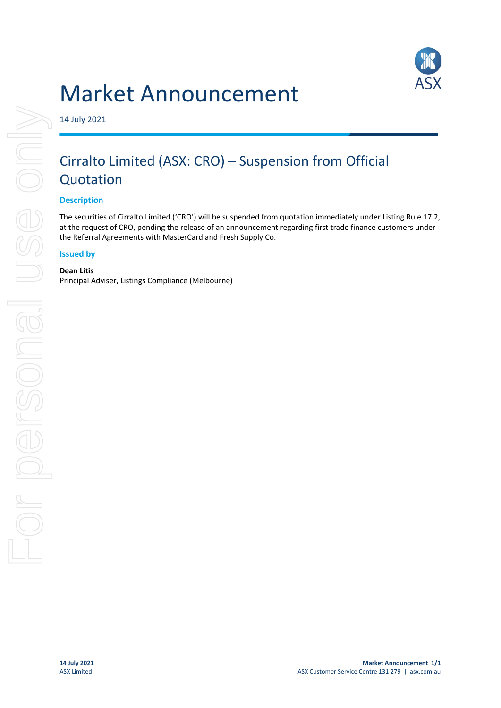



14 July 2021

# Cirralto Limited (ASX: CRO) – Suspension from Official Quotation

## **Description**

The securities of Cirralto Limited ('CRO') will be suspended from quotation immediately under Listing Rule 17.2, at the request of CRO, pending the release of an announcement regarding first trade finance customers under the Referral Agreements with MasterCard and Fresh Supply Co.

#### **Issued by**

**Dean Litis** Principal Adviser, Listings Compliance (Melbourne)